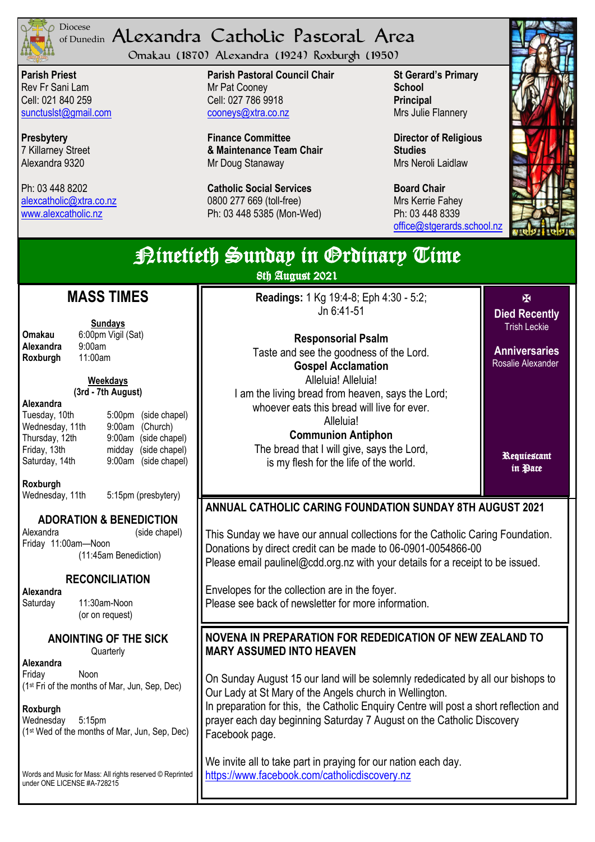

## <sup>Diocese</sup> Alexandra Catholic Pastoral Area of Dunedin

Omakau (1870) Alexandra (1924) Roxburgh (1950)

**Parish Priest** Rev Fr Sani Lam Cell: 021 840 259 [sunctuslst@gmail.com](mailto:mailto:sunctuslst@gmail.com)

**Presbytery** 7 Killarney Street Alexandra 9320

Ph: 03 448 8202 [alexcatholic@xtra.co.nz](mailto:mailto:alexcatholic@xtra.co.nz) www.alexcatholic.nz

**Parish Pastoral Council Chair** Mr Pat Cooney Cell: 027 786 9918 cooneys@xtra.co.nz

**Finance Committee & Maintenance Team Chair** Mr Doug Stanaway

**Catholic Social Services**  0800 277 669 (toll-free) Ph: 03 448 5385 (Mon-Wed)

**St Gerard's Primary School Principal** Mrs Julie Flannery

**Director of Religious Studies** Mrs Neroli Laidlaw

**Board Chair** Mrs Kerrie Fahey Ph: 03 448 8339 [office@stgerards.school.nz](mailto:mailto:office@stgerards.school.nz)



| <b>Rinetieth Sunday in Grdinary Time</b><br>8th August 2021                                                              |                                                                                                                                                                                                                                  |                                           |  |
|--------------------------------------------------------------------------------------------------------------------------|----------------------------------------------------------------------------------------------------------------------------------------------------------------------------------------------------------------------------------|-------------------------------------------|--|
| <b>MASS TIMES</b>                                                                                                        | Readings: 1 Kg 19:4-8; Eph 4:30 - 5:2;<br>Jn 6:41-51                                                                                                                                                                             | 图<br><b>Died Recently</b>                 |  |
| <b>Sundays</b><br>6:00pm Vigil (Sat)<br>Omakau<br>Alexandra<br>9:00am                                                    | <b>Responsorial Psalm</b>                                                                                                                                                                                                        | <b>Trish Leckie</b>                       |  |
| Roxburgh<br>11:00am                                                                                                      | Taste and see the goodness of the Lord.<br><b>Gospel Acclamation</b>                                                                                                                                                             | <b>Anniversaries</b><br>Rosalie Alexander |  |
| <b>Weekdays</b><br>(3rd - 7th August)<br>Alexandra                                                                       | Alleluia! Alleluia!<br>I am the living bread from heaven, says the Lord;<br>whoever eats this bread will live for ever.                                                                                                          |                                           |  |
| Tuesday, 10th<br>5:00pm (side chapel)<br>Wednesday, 11th<br>9:00am (Church)                                              | Alleluia!<br><b>Communion Antiphon</b>                                                                                                                                                                                           |                                           |  |
| 9:00am (side chapel)<br>Thursday, 12th<br>Friday, 13th<br>midday (side chapel)<br>Saturday, 14th<br>9:00am (side chapel) | The bread that I will give, says the Lord,<br>is my flesh for the life of the world.                                                                                                                                             | Requiestant<br>in Pace                    |  |
| Roxburgh<br>5:15pm (presbytery)<br>Wednesday, 11th                                                                       |                                                                                                                                                                                                                                  |                                           |  |
| <b>ADORATION &amp; BENEDICTION</b>                                                                                       | <b>ANNUAL CATHOLIC CARING FOUNDATION SUNDAY 8TH AUGUST 2021</b>                                                                                                                                                                  |                                           |  |
| Alexandra<br>(side chapel)<br>Friday 11:00am-Noon<br>(11:45am Benediction)                                               | This Sunday we have our annual collections for the Catholic Caring Foundation.<br>Donations by direct credit can be made to 06-0901-0054866-00<br>Please email paulinel@cdd.org.nz with your details for a receipt to be issued. |                                           |  |
| <b>RECONCILIATION</b><br>Alexandra<br>11:30am-Noon<br>Saturday<br>(or on request)                                        | Envelopes for the collection are in the foyer.<br>Please see back of newsletter for more information.                                                                                                                            |                                           |  |
| <b>ANOINTING OF THE SICK</b><br>Quarterly                                                                                | NOVENA IN PREPARATION FOR REDEDICATION OF NEW ZEALAND TO<br><b>MARY ASSUMED INTO HEAVEN</b>                                                                                                                                      |                                           |  |
| Alexandra<br>Friday<br>Noon<br>(1st Fri of the months of Mar, Jun, Sep, Dec)                                             | On Sunday August 15 our land will be solemnly rededicated by all our bishops to<br>Our Lady at St Mary of the Angels church in Wellington.                                                                                       |                                           |  |
| Roxburgh<br>Wednesday<br>$5:15$ pm<br>(1 <sup>st</sup> Wed of the months of Mar, Jun, Sep, Dec)                          | In preparation for this, the Catholic Enquiry Centre will post a short reflection and<br>prayer each day beginning Saturday 7 August on the Catholic Discovery<br>Facebook page.                                                 |                                           |  |
| Words and Music for Mass: All rights reserved © Reprinted<br>under ONE LICENSE #A-728215                                 | We invite all to take part in praying for our nation each day.<br>https://www.facebook.com/catholicdiscovery.nz                                                                                                                  |                                           |  |